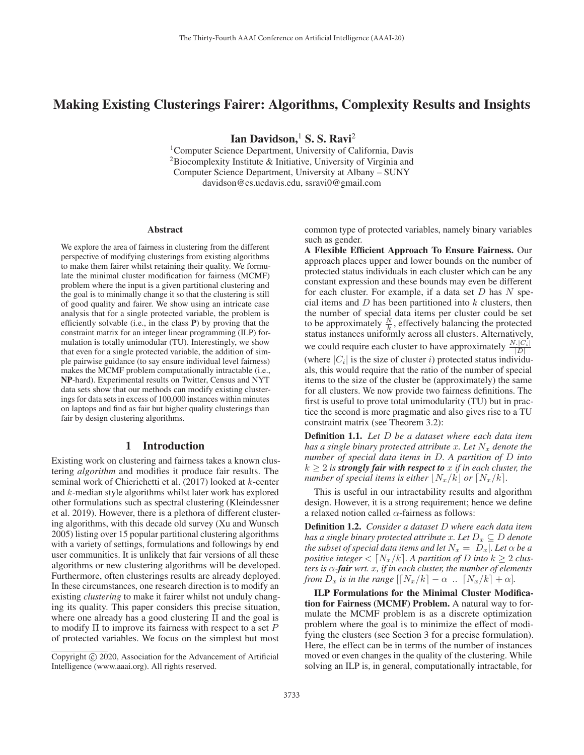# Making Existing Clusterings Fairer: Algorithms, Complexity Results and Insights

Ian Davidson, $<sup>1</sup>$  S. S. Ravi<sup>2</sup></sup>

<sup>1</sup>Computer Science Department, University of California, Davis 2Biocomplexity Institute & Initiative, University of Virginia and Computer Science Department, University at Albany – SUNY davidson@cs.ucdavis.edu, ssravi0@gmail.com

#### Abstract

We explore the area of fairness in clustering from the different perspective of modifying clusterings from existing algorithms to make them fairer whilst retaining their quality. We formulate the minimal cluster modification for fairness (MCMF) problem where the input is a given partitional clustering and the goal is to minimally change it so that the clustering is still of good quality and fairer. We show using an intricate case analysis that for a single protected variable, the problem is efficiently solvable (i.e., in the class P) by proving that the constraint matrix for an integer linear programming (ILP) formulation is totally unimodular (TU). Interestingly, we show that even for a single protected variable, the addition of simple pairwise guidance (to say ensure individual level fairness) makes the MCMF problem computationally intractable (i.e., NP-hard). Experimental results on Twitter, Census and NYT data sets show that our methods can modify existing clusterings for data sets in excess of 100,000 instances within minutes on laptops and find as fair but higher quality clusterings than fair by design clustering algorithms.

### 1 Introduction

Existing work on clustering and fairness takes a known clustering *algorithm* and modifies it produce fair results. The seminal work of Chierichetti et al. (2017) looked at k-center and k-median style algorithms whilst later work has explored other formulations such as spectral clustering (Kleindessner et al. 2019). However, there is a plethora of different clustering algorithms, with this decade old survey (Xu and Wunsch 2005) listing over 15 popular partitional clustering algorithms with a variety of settings, formulations and followings by end user communities. It is unlikely that fair versions of all these algorithms or new clustering algorithms will be developed. Furthermore, often clusterings results are already deployed. In these circumstances, one research direction is to modify an existing *clustering* to make it fairer whilst not unduly changing its quality. This paper considers this precise situation, where one already has a good clustering Π and the goal is to modify  $\Pi$  to improve its fairness with respect to a set P of protected variables. We focus on the simplest but most

common type of protected variables, namely binary variables such as gender.

A Flexible Efficient Approach To Ensure Fairness. Our approach places upper and lower bounds on the number of protected status individuals in each cluster which can be any constant expression and these bounds may even be different for each cluster. For example, if a data set  $D$  has  $N$  special items and  $D$  has been partitioned into  $k$  clusters, then the number of special data items per cluster could be set to be approximately  $\frac{N}{k}$ , effectively balancing the protected status instances uniformly across all clusters. Alternatively, we could require each cluster to have approximately  $\frac{N\cdot|C_i|}{|D|}$ (where  $|C_i|$  is the size of cluster i) protected status individuals, this would require that the ratio of the number of special items to the size of the cluster be (approximately) the same for all clusters. We now provide two fairness definitions. The first is useful to prove total unimodularity (TU) but in practice the second is more pragmatic and also gives rise to a TU constraint matrix (see Theorem 3.2):

Definition 1.1. *Let* D *be a dataset where each data item has a single binary protected attribute* x. Let  $N_x$  denote the *number of special data items in* D*. A partition of* D *into*  $k \geq 2$  *is strongly fair with respect to* x *if in each cluster, the number of special items is either*  $|N_x/k|$  *or*  $[N_x/k]$ .

This is useful in our intractability results and algorithm design. However, it is a strong requirement; hence we define a relaxed notion called  $\alpha$ -fairness as follows:

Definition 1.2. *Consider a dataset* D *where each data item has a single binary protected attribute*  $x$ *. Let*  $D_x \subseteq D$  *denote the subset of special data items and let*  $N_x = |\overline{D_x}|$ *. Let*  $\alpha$  *be a positive integer*  $\langle N_x/k \rangle$ . A partition of D into  $k \geq 2$  clus*ters is*  $\alpha$ -*fair wrt.* x, *if in each cluster, the number of elements from*  $D_x$  *is in the range*  $\left[ \left[ N_x/k \right] - \alpha \right.$   $\left. \left. \left[ N_x/k \right] + \alpha \right]$ *.* 

ILP Formulations for the Minimal Cluster Modification for Fairness (MCMF) Problem. A natural way to formulate the MCMF problem is as a discrete optimization problem where the goal is to minimize the effect of modifying the clusters (see Section 3 for a precise formulation). Here, the effect can be in terms of the number of instances moved or even changes in the quality of the clustering. While solving an ILP is, in general, computationally intractable, for

Copyright  $\odot$  2020, Association for the Advancement of Artificial Intelligence (www.aaai.org). All rights reserved.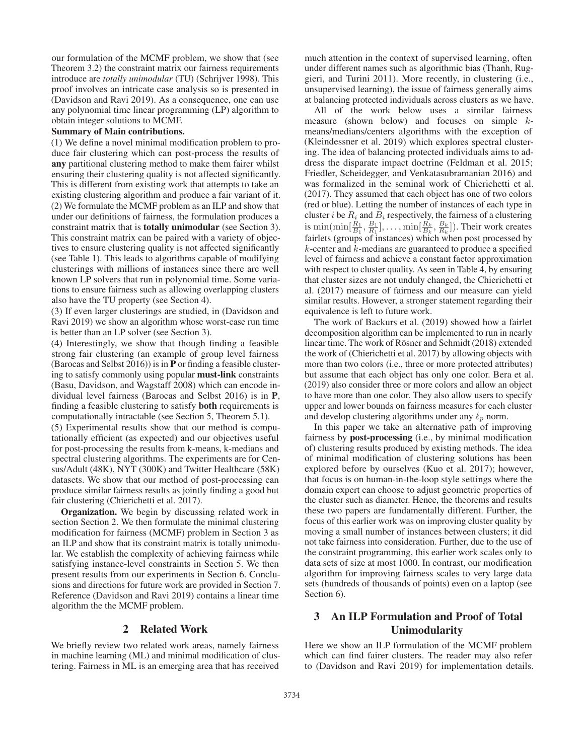our formulation of the MCMF problem, we show that (see Theorem 3.2) the constraint matrix our fairness requirements introduce are *totally unimodular* (TU) (Schrijver 1998). This proof involves an intricate case analysis so is presented in (Davidson and Ravi 2019). As a consequence, one can use any polynomial time linear programming (LP) algorithm to obtain integer solutions to MCMF.

#### Summary of Main contributions.

(1) We define a novel minimal modification problem to produce fair clustering which can post-process the results of any partitional clustering method to make them fairer whilst ensuring their clustering quality is not affected significantly. This is different from existing work that attempts to take an existing clustering algorithm and produce a fair variant of it. (2) We formulate the MCMF problem as an ILP and show that under our definitions of fairness, the formulation produces a constraint matrix that is totally unimodular (see Section 3). This constraint matrix can be paired with a variety of objectives to ensure clustering quality is not affected significantly (see Table 1). This leads to algorithms capable of modifying clusterings with millions of instances since there are well known LP solvers that run in polynomial time. Some variations to ensure fairness such as allowing overlapping clusters also have the TU property (see Section 4).

(3) If even larger clusterings are studied, in (Davidson and Ravi 2019) we show an algorithm whose worst-case run time is better than an LP solver (see Section 3).

(4) Interestingly, we show that though finding a feasible strong fair clustering (an example of group level fairness (Barocas and Selbst 2016)) is in P or finding a feasible clustering to satisfy commonly using popular must-link constraints (Basu, Davidson, and Wagstaff 2008) which can encode individual level fairness (Barocas and Selbst 2016) is in P, finding a feasible clustering to satisfy both requirements is computationally intractable (see Section 5, Theorem 5.1).

(5) Experimental results show that our method is computationally efficient (as expected) and our objectives useful for post-processing the results from k-means, k-medians and spectral clustering algorithms. The experiments are for Census/Adult (48K), NYT (300K) and Twitter Healthcare (58K) datasets. We show that our method of post-processing can produce similar fairness results as jointly finding a good but fair clustering (Chierichetti et al. 2017).

Organization. We begin by discussing related work in section Section 2. We then formulate the minimal clustering modification for fairness (MCMF) problem in Section 3 as an ILP and show that its constraint matrix is totally unimodular. We establish the complexity of achieving fairness while satisfying instance-level constraints in Section 5. We then present results from our experiments in Section 6. Conclusions and directions for future work are provided in Section 7. Reference (Davidson and Ravi 2019) contains a linear time algorithm the the MCMF problem.

## 2 Related Work

We briefly review two related work areas, namely fairness in machine learning (ML) and minimal modification of clustering. Fairness in ML is an emerging area that has received much attention in the context of supervised learning, often under different names such as algorithmic bias (Thanh, Ruggieri, and Turini 2011). More recently, in clustering (i.e., unsupervised learning), the issue of fairness generally aims at balancing protected individuals across clusters as we have.

All of the work below uses a similar fairness measure (shown below) and focuses on simple  $k$ means/medians/centers algorithms with the exception of (Kleindessner et al. 2019) which explores spectral clustering. The idea of balancing protected individuals aims to address the disparate impact doctrine (Feldman et al. 2015; Friedler, Scheidegger, and Venkatasubramanian 2016) and was formalized in the seminal work of Chierichetti et al. (2017). They assumed that each object has one of two colors (red or blue). Letting the number of instances of each type in cluster i be  $R_i$  and  $B_i$  respectively, the fairness of a clustering is min $(\min[\frac{\tilde{R}_1}{B_1},\frac{B_1}{R_1}],\ldots,\min[\frac{\tilde{R}_k}{B_k},\frac{B_k}{R_k}])$ . Their work creates fairlets (groups of instances) which when post processed by  $k$ -center and  $k$ -medians are guaranteed to produce a specified level of fairness and achieve a constant factor approximation with respect to cluster quality. As seen in Table 4, by ensuring that cluster sizes are not unduly changed, the Chierichetti et al. (2017) measure of fairness and our measure can yield similar results. However, a stronger statement regarding their equivalence is left to future work.

The work of Backurs et al. (2019) showed how a fairlet decomposition algorithm can be implemented to run in nearly linear time. The work of Rösner and Schmidt (2018) extended the work of (Chierichetti et al. 2017) by allowing objects with more than two colors (i.e., three or more protected attributes) but assume that each object has only one color. Bera et al. (2019) also consider three or more colors and allow an object to have more than one color. They also allow users to specify upper and lower bounds on fairness measures for each cluster and develop clustering algorithms under any  $\ell_p$  norm.

In this paper we take an alternative path of improving fairness by post-processing (i.e., by minimal modification of) clustering results produced by existing methods. The idea of minimal modification of clustering solutions has been explored before by ourselves (Kuo et al. 2017); however, that focus is on human-in-the-loop style settings where the domain expert can choose to adjust geometric properties of the cluster such as diameter. Hence, the theorems and results these two papers are fundamentally different. Further, the focus of this earlier work was on improving cluster quality by moving a small number of instances between clusters; it did not take fairness into consideration. Further, due to the use of the constraint programming, this earlier work scales only to data sets of size at most 1000. In contrast, our modification algorithm for improving fairness scales to very large data sets (hundreds of thousands of points) even on a laptop (see Section 6).

# 3 An ILP Formulation and Proof of Total Unimodularity

Here we show an ILP formulation of the MCMF problem which can find fairer clusters. The reader may also refer to (Davidson and Ravi 2019) for implementation details.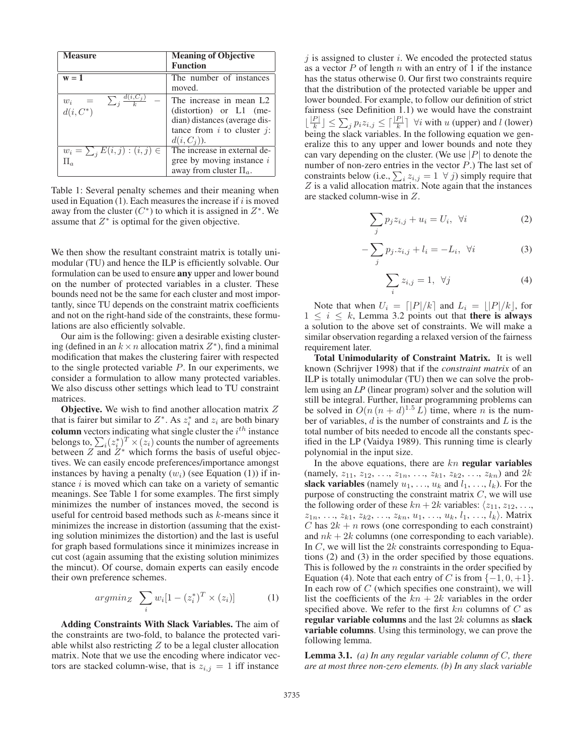| <b>Measure</b>                                           | <b>Meaning of Objective</b><br><b>Function</b>                                                                                                            |
|----------------------------------------------------------|-----------------------------------------------------------------------------------------------------------------------------------------------------------|
| $w = 1$                                                  | The number of instances<br>moved.                                                                                                                         |
| $\sum_{i} \frac{d(i, C_j)}{l}$<br>$w_i =$<br>$d(i, C^*)$ | The increase in mean L2<br>$\text{(distortion)}$ or $\text{L1}$ (me-<br>dian) distances (average dis-<br>tance from $i$ to cluster $j$ :<br>$d(i, C_i)$ . |
| $w_i = \sum_j E(i, j) : (i, j) \in$<br>$\Pi_a$           | The increase in external de-<br>gree by moving instance $i$<br>away from cluster $\Pi_a$ .                                                                |

Table 1: Several penalty schemes and their meaning when used in Equation  $(1)$ . Each measures the increase if i is moved away from the cluster  $(C^*)$  to which it is assigned in  $Z^*$ . We assume that  $Z^*$  is optimal for the given objective.

We then show the resultant constraint matrix is totally unimodular (TU) and hence the ILP is efficiently solvable. Our formulation can be used to ensure any upper and lower bound on the number of protected variables in a cluster. These bounds need not be the same for each cluster and most importantly, since TU depends on the constraint matrix coefficients and not on the right-hand side of the constraints, these formulations are also efficiently solvable.

Our aim is the following: given a desirable existing clustering (defined in an  $k \times n$  allocation matrix  $Z^*$ ), find a minimal modification that makes the clustering fairer with respected to the single protected variable  $P$ . In our experiments, we consider a formulation to allow many protected variables. We also discuss other settings which lead to TU constraint matrices.

**Objective.** We wish to find another allocation matrix  $Z$ that is fairer but similar to  $Z^*$ . As  $z_i^*$  and  $z_i$  are both binary column vectors indicating what single cluster the  $i^{th}$  instance belongs to,  $\sum_i (z_i^*)^T \times (z_i)$  counts the number of agreements between  $Z$  and  $Z^*$  which forms the basis of useful objectives. We can easily encode preferences/importance amongst instances by having a penalty  $(w_i)$  (see Equation (1)) if instance  $i$  is moved which can take on a variety of semantic meanings. See Table 1 for some examples. The first simply minimizes the number of instances moved, the second is useful for centroid based methods such as  $k$ -means since it minimizes the increase in distortion (assuming that the existing solution minimizes the distortion) and the last is useful for graph based formulations since it minimizes increase in cut cost (again assuming that the existing solution minimizes the mincut). Of course, domain experts can easily encode their own preference schemes.

$$
argmin_Z \sum_i w_i [1 - (z_i^*)^T \times (z_i)] \tag{1}
$$

Adding Constraints With Slack Variables. The aim of the constraints are two-fold, to balance the protected variable whilst also restricting  $Z$  to be a legal cluster allocation matrix. Note that we use the encoding where indicator vectors are stacked column-wise, that is  $z_{i,j} = 1$  iff instance

 $j$  is assigned to cluster  $i$ . We encoded the protected status as a vector  $P$  of length  $n$  with an entry of 1 if the instance has the status otherwise 0. Our first two constraints require that the distribution of the protected variable be upper and lower bounded. For example, to follow our definition of strict fairness (see Definition 1.1) we would have the constraint  $\lfloor \frac{|P|}{k} \rfloor \leq \sum_{j} p_i z_{i,j} \leq \lceil \frac{|P|}{k} \rceil$   $\forall i$  with u (upper) and l (lower) being the slack variables. In the following equation we generalize this to any upper and lower bounds and note they can vary depending on the cluster. (We use  $|P|$  to denote the number of non-zero entries in the vector  $P$ .) The last set of constraints below (i.e.,  $\sum_i z_{i,j} = 1 \ \forall j$ ) simply require that  $Z$  is a valid allocation matrix. Note again that the instances are stacked column-wise in Z.

$$
\sum_{j} p_j z_{i,j} + u_i = U_i, \ \forall i \tag{2}
$$

$$
-\sum_{j} p_j \cdot z_{i,j} + l_i = -L_i, \ \forall i \tag{3}
$$

$$
\sum_{i} z_{i,j} = 1, \ \forall j \tag{4}
$$

Note that when  $U_i = \lfloor |P|/k \rfloor$  and  $L_i = \lfloor |P|/k \rfloor$ , for  $1 \leq i \leq k$ , Lemma 3.2 points out that there is always a solution to the above set of constraints. We will make a similar observation regarding a relaxed version of the fairness requirement later.

Total Unimodularity of Constraint Matrix. It is well known (Schrijver 1998) that if the *constraint matrix* of an ILP is totally unimodular (TU) then we can solve the problem using an *LP* (linear program) solver and the solution will still be integral. Further, linear programming problems can be solved in  $O(n (n + d)^{1.5} L)$  time, where *n* is the number of variables,  $d$  is the number of constraints and  $L$  is the total number of bits needed to encode all the constants specified in the LP (Vaidya 1989). This running time is clearly polynomial in the input size.

In the above equations, there are  $kn$  regular variables (namely,  $z_{11}$ ,  $z_{12}$ , ...,  $z_{1n}$ , ...,  $z_{k1}$ ,  $z_{k2}$ , ...,  $z_{kn}$ ) and  $2k$ slack variables (namely  $u_1, \ldots, u_k$  and  $l_1, \ldots, l_k$ ). For the purpose of constructing the constraint matrix  $C$ , we will use the following order of these  $kn + 2k$  variables:  $\langle z_{11}, z_{12}, \ldots, z_{nk} \rangle$  $z_{1n}, \ldots, z_{k1}, z_{k2}, \ldots, z_{kn}, u_1, \ldots, u_k, l_1, \ldots, l_k$ . Matrix C has  $2k + n$  rows (one corresponding to each constraint) and  $nk + 2k$  columns (one corresponding to each variable). In  $C$ , we will list the  $2k$  constraints corresponding to Equations (2) and (3) in the order specified by those equations. This is followed by the  $n$  constraints in the order specified by Equation (4). Note that each entry of C is from  $\{-1, 0, +1\}$ . In each row of  $C$  (which specifies one constraint), we will list the coefficients of the  $kn + 2k$  variables in the order specified above. We refer to the first  $kn$  columns of  $C$  as regular variable columns and the last  $2k$  columns as slack variable columns. Using this terminology, we can prove the following lemma.

Lemma 3.1. *(a) In any regular variable column of* C*, there are at most three non-zero elements. (b) In any slack variable*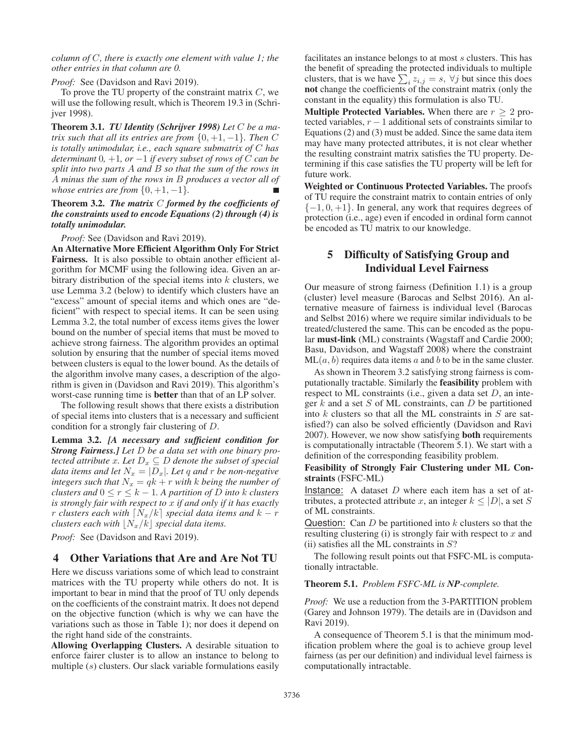*column of* C*, there is exactly one element with value 1; the other entries in that column are 0.*

*Proof:* See (Davidson and Ravi 2019).

To prove the TU property of the constraint matrix  $C$ , we will use the following result, which is Theorem 19.3 in (Schrijver 1998).

Theorem 3.1. *TU Identity (Schrijver 1998) Let* C *be a matrix such that all its entries are from*  $\{0, +1, -1\}$ *. Then* C *is totally unimodular, i.e., each square submatrix of* C *has determinant* 0*,* +1*, or* −1 *if every subset of rows of* C *can be split into two parts* A *and* B *so that the sum of the rows in* A *minus the sum of the rows in* B *produces a vector all of whose entries are from*  $\{0, +1, -1\}$ *.* 

Theorem 3.2. *The matrix* C *formed by the coefficients of the constraints used to encode Equations (2) through (4) is totally unimodular.*

*Proof:* See (Davidson and Ravi 2019).

An Alternative More Efficient Algorithm Only For Strict Fairness. It is also possible to obtain another efficient algorithm for MCMF using the following idea. Given an arbitrary distribution of the special items into  $k$  clusters, we use Lemma 3.2 (below) to identify which clusters have an "excess" amount of special items and which ones are "deficient" with respect to special items. It can be seen using Lemma 3.2, the total number of excess items gives the lower bound on the number of special items that must be moved to achieve strong fairness. The algorithm provides an optimal solution by ensuring that the number of special items moved between clusters is equal to the lower bound. As the details of the algorithm involve many cases, a description of the algorithm is given in (Davidson and Ravi 2019). This algorithm's worst-case running time is better than that of an LP solver.

The following result shows that there exists a distribution of special items into clusters that is a necessary and sufficient condition for a strongly fair clustering of D.

Lemma 3.2. *[A necessary and sufficient condition for Strong Fairness.] Let* D *be a data set with one binary protected attribute*  $x$ *. Let*  $D_x \subseteq D$  *denote the subset of special data items and let*  $N_x = |D_x|$ *. Let q and r be non-negative integers such that*  $N_x = qk + r$  *with* k *being the number of clusters and*  $0 \le r \le k - 1$ *. A partition of*  $\overline{D}$  *into*  $k$  *clusters is strongly fair with respect to* x *if and only if it has exactly r clusters each with*  $[N_x/k]$  *special data items and*  $k - r$ *clusters each with*  $\lfloor N_x/k \rfloor$  *special data items.* 

*Proof:* See (Davidson and Ravi 2019).

## 4 Other Variations that Are and Are Not TU

Here we discuss variations some of which lead to constraint matrices with the TU property while others do not. It is important to bear in mind that the proof of TU only depends on the coefficients of the constraint matrix. It does not depend on the objective function (which is why we can have the variations such as those in Table 1); nor does it depend on the right hand side of the constraints.

Allowing Overlapping Clusters. A desirable situation to enforce fairer cluster is to allow an instance to belong to multiple (s) clusters. Our slack variable formulations easily

facilitates an instance belongs to at most s clusters. This has the benefit of spreading the protected individuals to multiple clusters, that is we have  $\sum_i z_{i,j} = s$ ,  $\forall j$  but since this does not change the coefficients of the constraint matrix (only the constant in the equality) this formulation is also TU.

**Multiple Protected Variables.** When there are  $r \geq 2$  protected variables,  $r - 1$  additional sets of constraints similar to Equations (2) and (3) must be added. Since the same data item may have many protected attributes, it is not clear whether the resulting constraint matrix satisfies the TU property. Determining if this case satisfies the TU property will be left for future work.

Weighted or Continuous Protected Variables. The proofs of TU require the constraint matrix to contain entries of only  $\{-1, 0, +1\}$ . In general, any work that requires degrees of protection (i.e., age) even if encoded in ordinal form cannot be encoded as TU matrix to our knowledge.

# 5 Difficulty of Satisfying Group and Individual Level Fairness

Our measure of strong fairness (Definition 1.1) is a group (cluster) level measure (Barocas and Selbst 2016). An alternative measure of fairness is individual level (Barocas and Selbst 2016) where we require similar individuals to be treated/clustered the same. This can be encoded as the popular must-link (ML) constraints (Wagstaff and Cardie 2000; Basu, Davidson, and Wagstaff 2008) where the constraint  $ML(a, b)$  requires data items a and b to be in the same cluster.

As shown in Theorem 3.2 satisfying strong fairness is computationally tractable. Similarly the feasibility problem with respect to ML constraints (i.e., given a data set  $D$ , an integer  $k$  and a set  $S$  of ML constraints, can  $D$  be partitioned into  $k$  clusters so that all the ML constraints in  $S$  are satisfied?) can also be solved efficiently (Davidson and Ravi 2007). However, we now show satisfying both requirements is computationally intractable (Theorem 5.1). We start with a definition of the corresponding feasibility problem.

### Feasibility of Strongly Fair Clustering under ML Constraints (FSFC-ML)

Instance: A dataset  $D$  where each item has a set of attributes, a protected attribute x, an integer  $k \leq |D|$ , a set S of ML constraints.

Question: Can  $D$  be partitioned into  $k$  clusters so that the resulting clustering  $(i)$  is strongly fair with respect to  $x$  and (ii) satisfies all the ML constraints in  $S$ ?

The following result points out that FSFC-ML is computationally intractable.

## Theorem 5.1. *Problem FSFC-ML is NP-complete.*

*Proof:* We use a reduction from the 3-PARTITION problem (Garey and Johnson 1979). The details are in (Davidson and Ravi 2019).

A consequence of Theorem 5.1 is that the minimum modification problem where the goal is to achieve group level fairness (as per our definition) and individual level fairness is computationally intractable.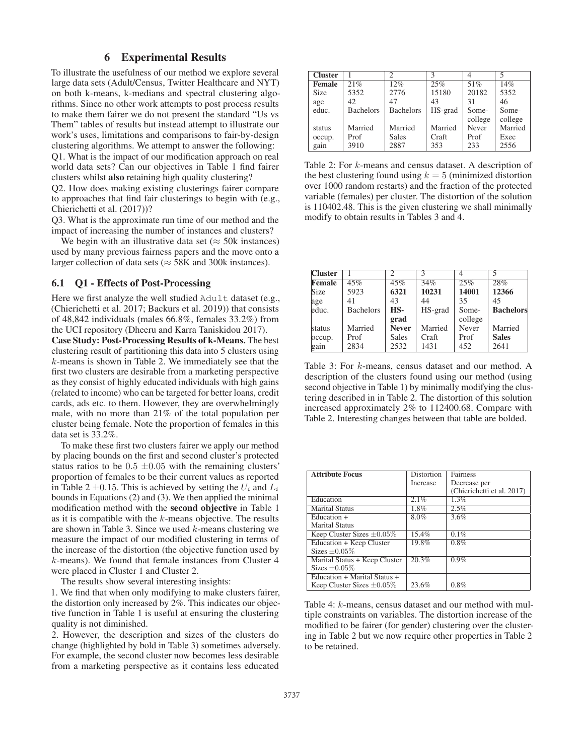## 6 Experimental Results

To illustrate the usefulness of our method we explore several large data sets (Adult/Census, Twitter Healthcare and NYT) on both k-means, k-medians and spectral clustering algorithms. Since no other work attempts to post process results to make them fairer we do not present the standard "Us vs Them" tables of results but instead attempt to illustrate our work's uses, limitations and comparisons to fair-by-design clustering algorithms. We attempt to answer the following: Q1. What is the impact of our modification approach on real world data sets? Can our objectives in Table 1 find fairer clusters whilst also retaining high quality clustering?

Q2. How does making existing clusterings fairer compare to approaches that find fair clusterings to begin with (e.g., Chierichetti et al. (2017))?

Q3. What is the approximate run time of our method and the impact of increasing the number of instances and clusters?

We begin with an illustrative data set ( $\approx$  50k instances) used by many previous fairness papers and the move onto a larger collection of data sets ( $\approx$  58K and 300k instances).

#### 6.1 Q1 - Effects of Post-Processing

Here we first analyze the well studied Adult dataset (e.g., (Chierichetti et al. 2017; Backurs et al. 2019)) that consists of 48,842 individuals (males 66.8%, females 33.2%) from the UCI repository (Dheeru and Karra Taniskidou 2017).

Case Study: Post-Processing Results of k-Means. The best clustering result of partitioning this data into 5 clusters using k-means is shown in Table 2. We immediately see that the first two clusters are desirable from a marketing perspective as they consist of highly educated individuals with high gains (related to income) who can be targeted for better loans, credit cards, ads etc. to them. However, they are overwhelmingly male, with no more than 21% of the total population per cluster being female. Note the proportion of females in this data set is 33.2%.

To make these first two clusters fairer we apply our method by placing bounds on the first and second cluster's protected status ratios to be  $0.5 \pm 0.05$  with the remaining clusters' proportion of females to be their current values as reported in Table 2  $\pm$ 0.15. This is achieved by setting the  $U_i$  and  $L_i$ bounds in Equations (2) and (3). We then applied the minimal modification method with the second objective in Table 1 as it is compatible with the  $k$ -means objective. The results are shown in Table 3. Since we used  $k$ -means clustering we measure the impact of our modified clustering in terms of the increase of the distortion (the objective function used by k-means). We found that female instances from Cluster 4 were placed in Cluster 1 and Cluster 2.

The results show several interesting insights:

1. We find that when only modifying to make clusters fairer, the distortion only increased by 2%. This indicates our objective function in Table 1 is useful at ensuring the clustering quality is not diminished.

2. However, the description and sizes of the clusters do change (highlighted by bold in Table 3) sometimes adversely. For example, the second cluster now becomes less desirable from a marketing perspective as it contains less educated

| <b>Cluster</b> |                  |                  |         |         |         |
|----------------|------------------|------------------|---------|---------|---------|
| <b>Female</b>  | 21%              | 12%              | 25%     | 51%     | 14%     |
| <b>Size</b>    | 5352             | 2776             | 15180   | 20182   | 5352    |
| age            | 42               | 47               | 43      | 31      | 46      |
| educ.          | <b>Bachelors</b> | <b>Bachelors</b> | HS-grad | Some-   | Some-   |
|                |                  |                  |         | college | college |
| status         | Married          | Married          | Married | Never   | Married |
| occup.         | Prof             | Sales            | Craft   | Prof    | Exec    |
| gain           | 3910             | 2887             | 353     | 233     | 2556    |

Table 2: For k-means and census dataset. A description of the best clustering found using  $k = 5$  (minimized distortion over 1000 random restarts) and the fraction of the protected variable (females) per cluster. The distortion of the solution is 110402.48. This is the given clustering we shall minimally modify to obtain results in Tables 3 and 4.

| <b>Cluster</b> |                  | C            | $\mathcal{R}$ |         |                  |
|----------------|------------------|--------------|---------------|---------|------------------|
| <b>Female</b>  | 45%              | 45%          | 34%           | 25%     | 28%              |
| Size           | 5923             | 6321         | 10231         | 14001   | 12366            |
| age            | 41               | 43           | 44            | 35      | 45               |
| leduc.         | <b>Bachelors</b> | HS-          | HS-grad       | Some-   | <b>Bachelors</b> |
|                |                  | grad         |               | college |                  |
| status         | Married          | <b>Never</b> | Married       | Never   | Married          |
| occup.         | Prof             | <b>Sales</b> | Craft         | Prof    | <b>Sales</b>     |
| gain           | 2834             | 2532         | 1431          | 452     | 2641             |

Table 3: For k-means, census dataset and our method. A description of the clusters found using our method (using second objective in Table 1) by minimally modifying the clustering described in in Table 2. The distortion of this solution increased approximately 2% to 112400.68. Compare with Table 2. Interesting changes between that table are bolded.

| <b>Attribute Focus</b>          | Distortion      | Fairness                   |
|---------------------------------|-----------------|----------------------------|
|                                 | <b>Increase</b> | Decrease per               |
|                                 |                 | (Chierichetti et al. 2017) |
| Education                       | 2.1%            | 1.3%                       |
| <b>Marital Status</b>           | 1.8%            | 2.5%                       |
| $Education +$                   | 8.0%            | 3.6%                       |
| <b>Marital Status</b>           |                 |                            |
| Keep Cluster Sizes $\pm 0.05\%$ | 15.4%           | 0.1%                       |
| Education + Keep Cluster        | 19.8%           | 0.8%                       |
| Sizes $\pm 0.05\%$              |                 |                            |
| Marital Status + Keep Cluster   | 20.3%           | $0.9\%$                    |
| Sizes $\pm 0.05\%$              |                 |                            |
| Education + Marital Status +    |                 |                            |
| Keep Cluster Sizes $\pm 0.05\%$ | 23.6%           | 0.8%                       |

Table 4: k-means, census dataset and our method with multiple constraints on variables. The distortion increase of the modified to be fairer (for gender) clustering over the clustering in Table 2 but we now require other properties in Table 2 to be retained.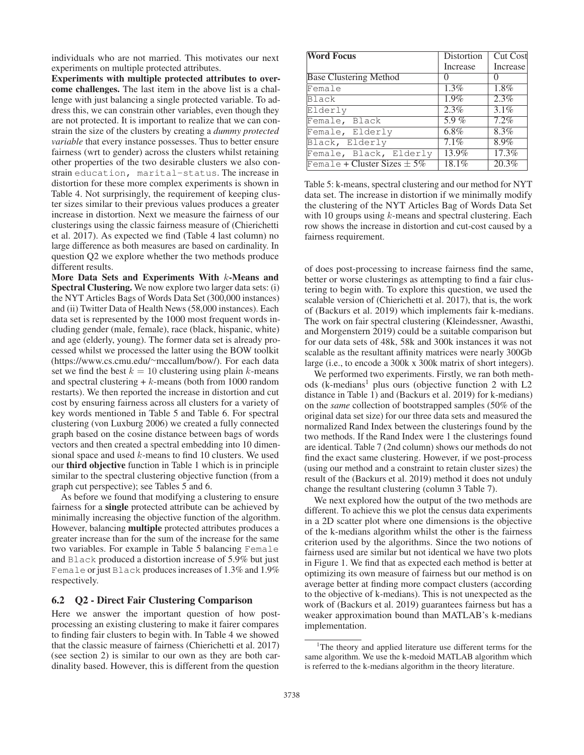individuals who are not married. This motivates our next experiments on multiple protected attributes.

Experiments with multiple protected attributes to overcome challenges. The last item in the above list is a challenge with just balancing a single protected variable. To address this, we can constrain other variables, even though they are not protected. It is important to realize that we can constrain the size of the clusters by creating a *dummy protected variable* that every instance possesses. Thus to better ensure fairness (wrt to gender) across the clusters whilst retaining other properties of the two desirable clusters we also constrain education, marital-status. The increase in distortion for these more complex experiments is shown in Table 4. Not surprisingly, the requirement of keeping cluster sizes similar to their previous values produces a greater increase in distortion. Next we measure the fairness of our clusterings using the classic fairness measure of (Chierichetti et al. 2017). As expected we find (Table 4 last column) no large difference as both measures are based on cardinality. In question Q2 we explore whether the two methods produce different results.

More Data Sets and Experiments With k-Means and Spectral Clustering. We now explore two larger data sets: (i) the NYT Articles Bags of Words Data Set (300,000 instances) and (ii) Twitter Data of Health News (58,000 instances). Each data set is represented by the 1000 most frequent words including gender (male, female), race (black, hispanic, white) and age (elderly, young). The former data set is already processed whilst we processed the latter using the BOW toolkit (https://www.cs.cmu.edu/∼mccallum/bow/). For each data set we find the best  $k = 10$  clustering using plain k-means and spectral clustering  $+ k$ -means (both from 1000 random restarts). We then reported the increase in distortion and cut cost by ensuring fairness across all clusters for a variety of key words mentioned in Table 5 and Table 6. For spectral clustering (von Luxburg 2006) we created a fully connected graph based on the cosine distance between bags of words vectors and then created a spectral embedding into 10 dimensional space and used k-means to find 10 clusters. We used our third objective function in Table 1 which is in principle similar to the spectral clustering objective function (from a graph cut perspective); see Tables 5 and 6.

As before we found that modifying a clustering to ensure fairness for a single protected attribute can be achieved by minimally increasing the objective function of the algorithm. However, balancing multiple protected attributes produces a greater increase than for the sum of the increase for the same two variables. For example in Table 5 balancing Female and Black produced a distortion increase of 5.9% but just Female or just Black produces increases of 1.3% and 1.9% respectively.

## 6.2 Q2 - Direct Fair Clustering Comparison

Here we answer the important question of how postprocessing an existing clustering to make it fairer compares to finding fair clusters to begin with. In Table 4 we showed that the classic measure of fairness (Chierichetti et al. 2017) (see section 2) is similar to our own as they are both cardinality based. However, this is different from the question

| <b>Word Focus</b>               | Distortion        | <b>Cut Cost</b>    |
|---------------------------------|-------------------|--------------------|
|                                 | Increase          | Increase           |
| <b>Base Clustering Method</b>   | $\mathbf{\Omega}$ | $\mathbf{0}$       |
| Female                          | $1.3\%$           | $\overline{1.8\%}$ |
| Black                           | 1.9%              | 2.3%               |
| Elderly                         | 2.3%              | $3.1\%$            |
| Female, Black                   | $5.9\%$           | 7.2%               |
| Female, Elderly                 | 6.8%              | 8.3%               |
| Black, Elderly                  | 7.1%              | 8.9%               |
| Female, Black, Elderly          | 13.9%             | 17.3%              |
| Female + Cluster Sizes $\pm$ 5% | 18.1%             | 20.3%              |

Table 5: k-means, spectral clustering and our method for NYT data set. The increase in distortion if we minimally modify the clustering of the NYT Articles Bag of Words Data Set with 10 groups using *k*-means and spectral clustering. Each row shows the increase in distortion and cut-cost caused by a fairness requirement.

of does post-processing to increase fairness find the same, better or worse clusterings as attempting to find a fair clustering to begin with. To explore this question, we used the scalable version of (Chierichetti et al. 2017), that is, the work of (Backurs et al. 2019) which implements fair k-medians. The work on fair spectral clustering (Kleindessner, Awasthi, and Morgenstern 2019) could be a suitable comparison but for our data sets of 48k, 58k and 300k instances it was not scalable as the resultant affinity matrices were nearly 300Gb large (i.e., to encode a 300k x 300k matrix of short integers).

We performed two experiments. Firstly, we ran both methods (k-medians<sup>1</sup> plus ours (objective function 2 with  $L2$ distance in Table 1) and (Backurs et al. 2019) for k-medians) on the *same* collection of bootstrapped samples (50% of the original data set size) for our three data sets and measured the normalized Rand Index between the clusterings found by the two methods. If the Rand Index were 1 the clusterings found are identical. Table 7 (2nd column) shows our methods do not find the exact same clustering. However, if we post-process (using our method and a constraint to retain cluster sizes) the result of the (Backurs et al. 2019) method it does not unduly change the resultant clustering (column 3 Table 7).

We next explored how the output of the two methods are different. To achieve this we plot the census data experiments in a 2D scatter plot where one dimensions is the objective of the k-medians algorithm whilst the other is the fairness criterion used by the algorithms. Since the two notions of fairness used are similar but not identical we have two plots in Figure 1. We find that as expected each method is better at optimizing its own measure of fairness but our method is on average better at finding more compact clusters (according to the objective of k-medians). This is not unexpected as the work of (Backurs et al. 2019) guarantees fairness but has a weaker approximation bound than MATLAB's k-medians implementation.

<sup>&</sup>lt;sup>1</sup>The theory and applied literature use different terms for the same algorithm. We use the k-medoid MATLAB algorithm which is referred to the k-medians algorithm in the theory literature.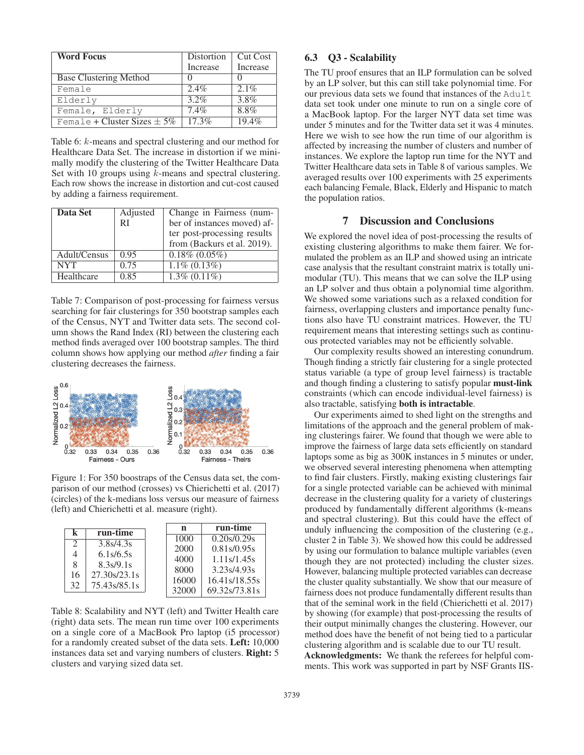| <b>Word Focus</b>               | Distortion | <b>Cut Cost</b> |
|---------------------------------|------------|-----------------|
|                                 | Increase   | Increase        |
| <b>Base Clustering Method</b>   |            |                 |
| Female                          | $2.4\%$    | $2.1\%$         |
| Elderly                         | $3.2\%$    | 3.8%            |
| Female, Elderly                 | 7.4%       | 8.8%            |
| Female + Cluster Sizes $\pm$ 5% | 17.3%      | 19.4%           |

Table 6: k-means and spectral clustering and our method for Healthcare Data Set. The increase in distortion if we minimally modify the clustering of the Twitter Healthcare Data Set with 10 groups using  $k$ -means and spectral clustering. Each row shows the increase in distortion and cut-cost caused by adding a fairness requirement.

| Data Set     | Adjusted | Change in Fairness (num-    |
|--------------|----------|-----------------------------|
|              | RI       | ber of instances moved) af- |
|              |          | ter post-processing results |
|              |          | from (Backurs et al. 2019). |
| Adult/Census | 0.95     | $0.18\%$ $(0.05\%)$         |
| <b>NYT</b>   | 0.75     | $1.1\% (0.13\%)$            |
| Healthcare   | 0.85     | $1.3\%$ (0.11%)             |

Table 7: Comparison of post-processing for fairness versus searching for fair clusterings for 350 bootstrap samples each of the Census, NYT and Twitter data sets. The second column shows the Rand Index (RI) between the clustering each method finds averaged over 100 bootstrap samples. The third column shows how applying our method *after* finding a fair clustering decreases the fairness.



Figure 1: For 350 boostraps of the Census data set, the comparison of our method (crosses) vs Chierichetti et al. (2017) (circles) of the k-medians loss versus our measure of fairness (left) and Chierichetti et al. measure (right).

| k                           | run-time                  | n     | run-time                  |
|-----------------------------|---------------------------|-------|---------------------------|
|                             |                           | 1000  | $\overline{0.20}$ s/0.29s |
| $\mathcal{D}_{\mathcal{L}}$ | 3.8s/4.3s                 | 2000  | 0.81s/0.95s               |
| 4                           | 6.1s/6.5s                 |       |                           |
| 8                           | 8.3s/9.1s                 | 4000  | 1.11s/1.45s               |
|                             | 27.30 <sub>s</sub> /23.1s | 8000  | 3.23s/4.93s               |
| 16                          |                           | 16000 | $16.41\frac{s}{18.55s}$   |
| 32                          | 75.43s/85.1s              |       |                           |
|                             |                           | 32000 | 69.32s/73.81s             |

Table 8: Scalability and NYT (left) and Twitter Health care (right) data sets. The mean run time over 100 experiments on a single core of a MacBook Pro laptop (i5 processor) for a randomly created subset of the data sets. Left: 10,000 instances data set and varying numbers of clusters. Right: 5 clusters and varying sized data set.

# 6.3 Q3 - Scalability

The TU proof ensures that an ILP formulation can be solved by an LP solver, but this can still take polynomial time. For our previous data sets we found that instances of the Adult data set took under one minute to run on a single core of a MacBook laptop. For the larger NYT data set time was under 5 minutes and for the Twitter data set it was 4 minutes. Here we wish to see how the run time of our algorithm is affected by increasing the number of clusters and number of instances. We explore the laptop run time for the NYT and Twitter Healthcare data sets in Table 8 of various samples. We averaged results over 100 experiments with 25 experiments each balancing Female, Black, Elderly and Hispanic to match the population ratios.

## 7 Discussion and Conclusions

We explored the novel idea of post-processing the results of existing clustering algorithms to make them fairer. We formulated the problem as an ILP and showed using an intricate case analysis that the resultant constraint matrix is totally unimodular (TU). This means that we can solve the ILP using an LP solver and thus obtain a polynomial time algorithm. We showed some variations such as a relaxed condition for fairness, overlapping clusters and importance penalty functions also have TU constraint matrices. However, the TU requirement means that interesting settings such as continuous protected variables may not be efficiently solvable.

Our complexity results showed an interesting conundrum. Though finding a strictly fair clustering for a single protected status variable (a type of group level fairness) is tractable and though finding a clustering to satisfy popular must-link constraints (which can encode individual-level fairness) is also tractable, satisfying both is intractable.

Our experiments aimed to shed light on the strengths and limitations of the approach and the general problem of making clusterings fairer. We found that though we were able to improve the fairness of large data sets efficiently on standard laptops some as big as 300K instances in 5 minutes or under, we observed several interesting phenomena when attempting to find fair clusters. Firstly, making existing clusterings fair for a single protected variable can be achieved with minimal decrease in the clustering quality for a variety of clusterings produced by fundamentally different algorithms (k-means and spectral clustering). But this could have the effect of unduly influencing the composition of the clustering (e.g., cluster 2 in Table 3). We showed how this could be addressed by using our formulation to balance multiple variables (even though they are not protected) including the cluster sizes. However, balancing multiple protected variables can decrease the cluster quality substantially. We show that our measure of fairness does not produce fundamentally different results than that of the seminal work in the field (Chierichetti et al. 2017) by showing (for example) that post-processing the results of their output minimally changes the clustering. However, our method does have the benefit of not being tied to a particular clustering algorithm and is scalable due to our TU result. Acknowledgments: We thank the referees for helpful com-

ments. This work was supported in part by NSF Grants IIS-